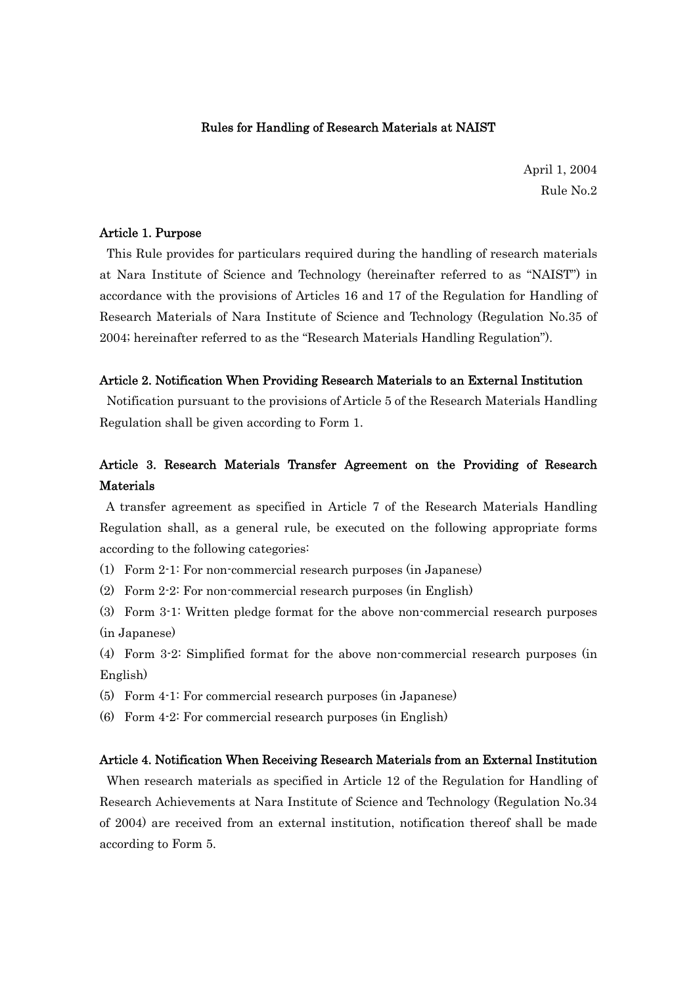### Rules for Handling of Research Materials at NAIST

April 1, 2004 Rule No.2

## Article 1. Purpose

 This Rule provides for particulars required during the handling of research materials at Nara Institute of Science and Technology (hereinafter referred to as "NAIST") in accordance with the provisions of Articles 16 and 17 of the Regulation for Handling of Research Materials of Nara Institute of Science and Technology (Regulation No.35 of 2004; hereinafter referred to as the "Research Materials Handling Regulation").

## Article 2. Notification When Providing Research Materials to an External Institution

 Notification pursuant to the provisions of Article 5 of the Research Materials Handling Regulation shall be given according to Form 1.

# Article 3. Research Materials Transfer Agreement on the Providing of Research Materials

 A transfer agreement as specified in Article 7 of the Research Materials Handling Regulation shall, as a general rule, be executed on the following appropriate forms according to the following categories:

- (1) Form 2-1: For non-commercial research purposes (in Japanese)
- (2) Form 2-2: For non-commercial research purposes (in English)

(3) Form 3-1: Written pledge format for the above non-commercial research purposes (in Japanese)

(4) Form 3-2: Simplified format for the above non-commercial research purposes (in English)

- (5) Form 4-1: For commercial research purposes (in Japanese)
- (6) Form 4-2: For commercial research purposes (in English)

# Article 4. Notification When Receiving Research Materials from an External Institution

 When research materials as specified in Article 12 of the Regulation for Handling of Research Achievements at Nara Institute of Science and Technology (Regulation No.34 of 2004) are received from an external institution, notification thereof shall be made according to Form 5.